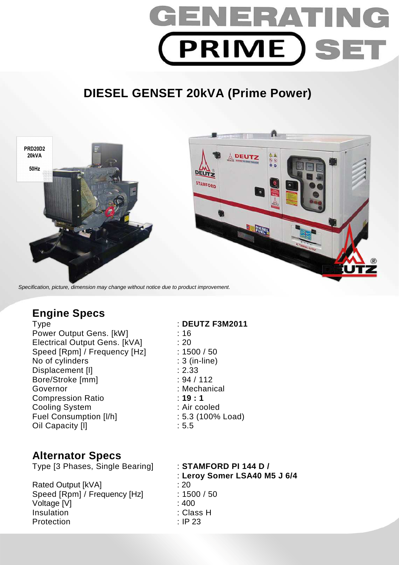

# **DIESEL GENSET 20kVA (Prime Power)**



Specification, picture, dimension may change without notice due to product improvement.

## **Engine Specs**

Type : **DEUTZ F3M2011**  Power Output Gens. [kW] : 16 Electrical Output Gens. [kVA] : 20 Speed [Rpm] / Frequency [Hz] : 1500 / 50 No of cylinders : 3 (in-line) Displacement [I] 2.33 Bore/Stroke [mm] : 94 / 112 Governor : Mechanical Compression Ratio : **19 : 1**  Cooling System : Air cooled Fuel Consumption [I/h] : 5.3 (100% Load) Oil Capacity [I] 3.5

### **Alternator Specs**

Type [3 Phases, Single Bearing] : **STAMFORD PI 144 D /** 

Rated Output [kVA] : 20 Speed [Rpm] / Frequency [Hz] : 1500 / 50 Voltage [V] : 400 Insulation : Class H Protection : IP 23

: **Leroy Somer LSA40 M5 J 6/4**